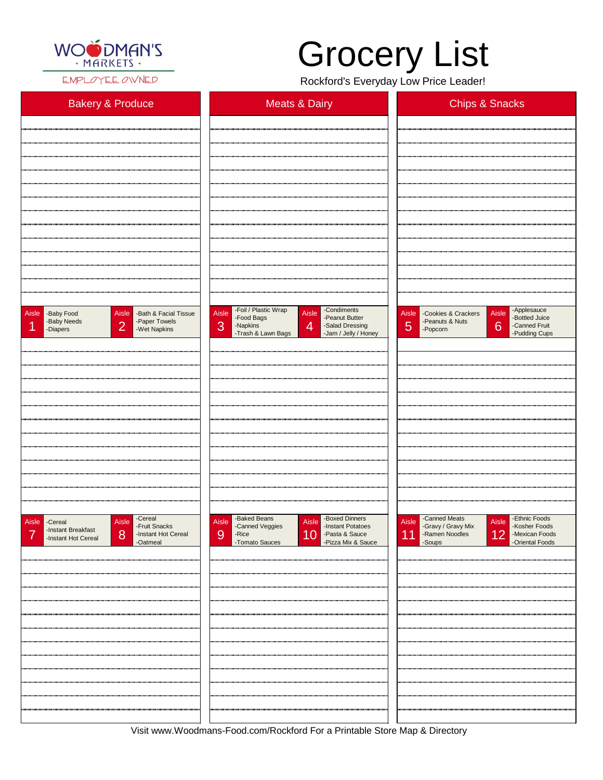

EMPLOYEE OWNED

Visit www.Woodmans-Food.com/Rockford For a Printable Store Map & Directory

## Grocery List

Rockford's Everyday Low Price Leader!

| <b>Bakery &amp; Produce</b>                                                                                              | <b>Meats &amp; Dairy</b>                                                                                                                                                                  | <b>Chips &amp; Snacks</b>                                                                                                                    |
|--------------------------------------------------------------------------------------------------------------------------|-------------------------------------------------------------------------------------------------------------------------------------------------------------------------------------------|----------------------------------------------------------------------------------------------------------------------------------------------|
|                                                                                                                          |                                                                                                                                                                                           |                                                                                                                                              |
|                                                                                                                          |                                                                                                                                                                                           |                                                                                                                                              |
|                                                                                                                          |                                                                                                                                                                                           |                                                                                                                                              |
|                                                                                                                          |                                                                                                                                                                                           |                                                                                                                                              |
|                                                                                                                          |                                                                                                                                                                                           |                                                                                                                                              |
|                                                                                                                          |                                                                                                                                                                                           |                                                                                                                                              |
|                                                                                                                          |                                                                                                                                                                                           |                                                                                                                                              |
|                                                                                                                          |                                                                                                                                                                                           |                                                                                                                                              |
|                                                                                                                          |                                                                                                                                                                                           |                                                                                                                                              |
|                                                                                                                          |                                                                                                                                                                                           |                                                                                                                                              |
| Aisle<br>Aisle<br>-Bath & Facial Tissue<br>-Baby Food<br>-Paper Towels<br>-Baby Needs<br> 2 <br>-Wet Napkins<br>-Diapers | -Foil / Plastic Wrap<br>-Condiments<br>Aisle<br>Aisle<br>-Peanut Butter<br>-Food Bags<br>3<br>$\overline{4}$<br>-Salad Dressing<br>-Napkins<br>-Trash & Lawn Bags<br>-Jam / Jelly / Honey | Aisle - Applesauce<br>Aisle -Cookies & Crackers<br>-Bottled Juice<br>-Peanuts & Nuts<br>5<br>6<br>-Canned Fruit<br>-Popcorn<br>-Pudding Cups |
|                                                                                                                          |                                                                                                                                                                                           |                                                                                                                                              |
|                                                                                                                          |                                                                                                                                                                                           |                                                                                                                                              |
|                                                                                                                          |                                                                                                                                                                                           |                                                                                                                                              |
|                                                                                                                          |                                                                                                                                                                                           |                                                                                                                                              |
|                                                                                                                          |                                                                                                                                                                                           |                                                                                                                                              |
|                                                                                                                          |                                                                                                                                                                                           |                                                                                                                                              |
|                                                                                                                          |                                                                                                                                                                                           |                                                                                                                                              |
|                                                                                                                          |                                                                                                                                                                                           |                                                                                                                                              |
|                                                                                                                          |                                                                                                                                                                                           |                                                                                                                                              |
|                                                                                                                          |                                                                                                                                                                                           |                                                                                                                                              |
| -Cereal<br>Aisle<br>Aisle<br>-Cereal<br>-Fruit Snacks<br>-Instant Breakfast                                              | -Baked Beans<br>-Boxed Dinners<br>Aisle<br>Aisle<br>-Canned Veggies<br>-Instant Potatoes                                                                                                  | -Canned Meats<br>-Ethnic Foods<br>Aisle<br>Aisle<br>-Gravy / Gravy Mix<br>-Kosher Foods                                                      |

| Finstant Breaklast<br>$\overline{\phantom{a}}$<br>-Instant Hot Cereal<br>8 <sup>8</sup><br>-Instant Hot Cereal<br>-Oatmeal | 10 - Pasta & Sauce<br>- Pizza Mix & Sauce<br>9<br>-Rice<br>-Tomato Sauces | 11 - Ramen Noodles<br>- Soups<br> 12 <br>-Mexican Foods<br>-Oriental Foods |
|----------------------------------------------------------------------------------------------------------------------------|---------------------------------------------------------------------------|----------------------------------------------------------------------------|
|                                                                                                                            |                                                                           |                                                                            |
|                                                                                                                            |                                                                           |                                                                            |
|                                                                                                                            |                                                                           |                                                                            |
|                                                                                                                            |                                                                           |                                                                            |
|                                                                                                                            |                                                                           |                                                                            |
|                                                                                                                            |                                                                           |                                                                            |
|                                                                                                                            |                                                                           |                                                                            |
|                                                                                                                            |                                                                           |                                                                            |
|                                                                                                                            |                                                                           |                                                                            |
|                                                                                                                            |                                                                           |                                                                            |
|                                                                                                                            |                                                                           |                                                                            |